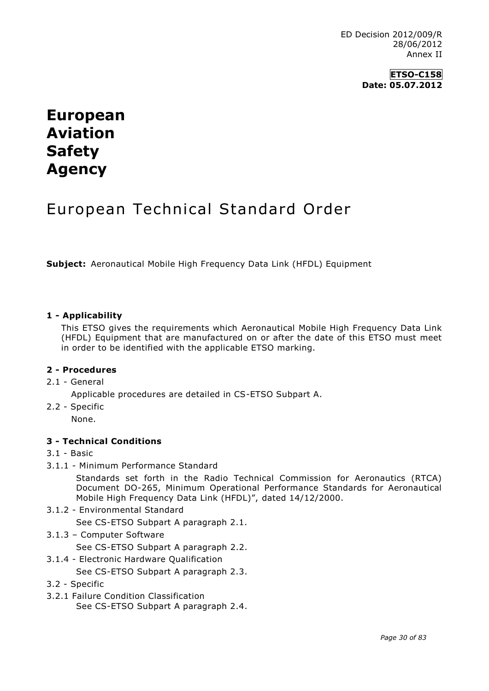**ETSO-C158 Date: 05.07.2012**

# **European Aviation Safety Agency**

# European Technical Standard Order

**Subject:** Aeronautical Mobile High Frequency Data Link (HFDL) Equipment

### **1 - Applicability**

This ETSO gives the requirements which Aeronautical Mobile High Frequency Data Link (HFDL) Equipment that are manufactured on or after the date of this ETSO must meet in order to be identified with the applicable ETSO marking.

### **2 - Procedures**

2.1 - General

Applicable procedures are detailed in CS-ETSO Subpart A.

2.2 - Specific None.

# **3 - Technical Conditions**

- 3.1 Basic
- 3.1.1 Minimum Performance Standard

Standards set forth in the Radio Technical Commission for Aeronautics (RTCA) Document DO-265, Minimum Operational Performance Standards for Aeronautical Mobile High Frequency Data Link (HFDL)", dated 14/12/2000.

- 3.1.2 Environmental Standard See CS-ETSO Subpart A paragraph 2.1.
- 3.1.3 Computer Software

See CS-ETSO Subpart A paragraph 2.2.

3.1.4 - Electronic Hardware Qualification

See CS-ETSO Subpart A paragraph 2.3.

- 3.2 Specific
- 3.2.1 Failure Condition Classification See CS-ETSO Subpart A paragraph 2.4.